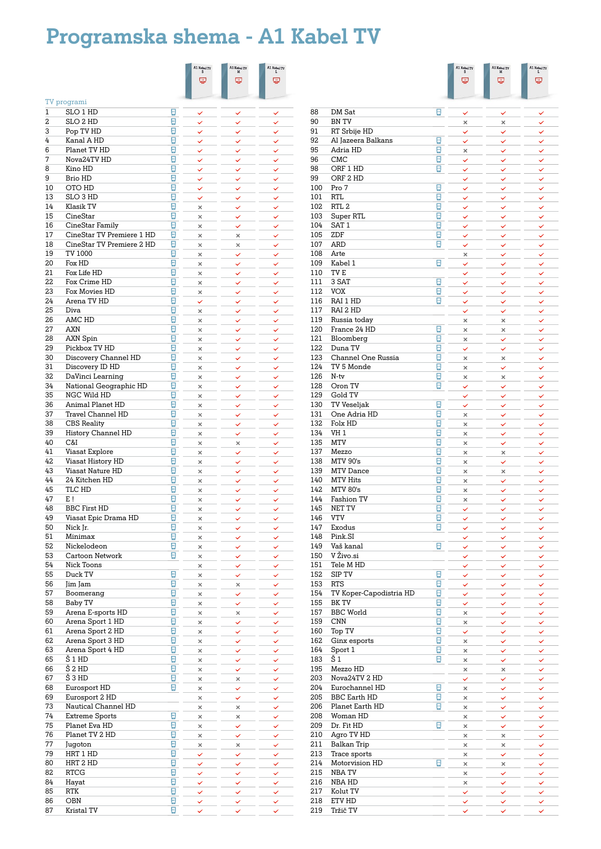# **Programska shema - A1 Kabel TV**

|          |                                              |                                  | A1 Kabel TV $_{\rm S}$ | A1 Kabel TV $_M^M$ | A1 Kabel TV $_{\rm L}$ |
|----------|----------------------------------------------|----------------------------------|------------------------|--------------------|------------------------|
|          |                                              |                                  | 巴                      | 巴                  | 巴                      |
|          |                                              |                                  |                        |                    |                        |
|          | TV programi                                  |                                  |                        |                    |                        |
| 1        | SLO 1 HD                                     | g                                | ✓                      | ✓                  | ✓                      |
| 2        | SLO 2 HD                                     | $\overline{\mathbb{C}}$          | ✓                      | ✓                  | ✓                      |
| 3        | Pop TV HD                                    | $\mathbb{R}$                     | ✓                      | ✓                  | ✓                      |
| 4        | Kanal A HD                                   | g                                | ✓                      | ✓                  | ✓                      |
| 6        | Planet TV HD                                 | g                                | ✓                      | ✓                  | ✓                      |
| 7        | Nova24TV HD                                  | $\overline{\mathbb{C}}$          | ✓                      | ✓                  | ✓                      |
| 8        | Kino HD                                      | ø                                | ✓                      | ✓                  | ✓                      |
| 9        | Brio HD                                      | ø                                | ✓                      | ✓                  | ✓                      |
| 10<br>13 | OTO HD<br>SLO <sub>3</sub> HD                | ⊡<br>⊡                           | ✓                      | ✓                  | ✓                      |
| 14       | Klasik TV                                    | ⊡                                | ✓<br>$\times$          | ✓<br>✓             | ✓<br>✓                 |
| 15       | CineStar                                     | ⊡                                | $\times$               | ✓                  | ✓                      |
| 16       | CineStar Family                              | ⊡                                | $\times$               | ✓                  | ✓                      |
| 17       | CineStar TV Premiere 1 HD                    | ⊡                                | $\times$               | ×                  | ✓                      |
| 18       | CineStar TV Premiere 2 HD                    | ⊡                                | $\times$               | ×                  | ✓                      |
| 19       | TV 1000                                      | ⊡                                | $\times$               | ✓                  | ✓                      |
| 20       | Fox HD                                       | ø                                | $\times$               | ✓                  | ✓                      |
| 21       | Fox Life HD                                  | ⊡                                | ×                      | ✓                  | ✓                      |
| 22       | Fox Crime HD                                 | ⊡                                | $\times$               | ✓                  | ✓                      |
| 23       | Fox Movies HD                                | ⊡                                | $\times$               | ✓                  | ✓                      |
| 24       | Arena TV HD                                  | ⊡                                | ✓                      | ✓                  | ✓                      |
| 25       | Diva                                         | ⊡                                | $\times$               | ✓                  | ✓                      |
| 26       | AMC HD                                       | $\overline{\mathbb{C}}$          | $\times$               | ✓                  | ✓                      |
| 27       | AXN                                          | $\bullet$                        | $\times$               | ✓                  | ✓                      |
| 28       | <b>AXN Spin</b>                              | $\mathbb{R}$                     | $\times$               | ✓                  | ✓                      |
| 29       | Pickbox TV HD                                | $\mathbb{R}^2$<br>$\overline{c}$ | ×                      | ✓                  | ✓                      |
| 30<br>31 | Discovery Channel HD                         | $\bullet$                        | ×                      | ✓                  | ✓<br>$\checkmark$      |
| 32       | Discovery ID HD<br>DaVinci Learning          | $\overline{c}$                   | $\times$<br>$\times$   | ✓                  | ✓                      |
| 34       | National Geographic HD                       | g                                | ×                      | ✓<br>✓             | ✓                      |
| 35       | NGC Wild HD                                  | Θ                                | ×                      | ✓                  | ✓                      |
| 36       | Animal Planet HD                             | Ø                                | $\times$               | ✓                  | ✓                      |
| 37       | Travel Channel HD                            | ⊡                                | $\times$               | ✓                  | ✓                      |
| 38       | CBS Reality                                  | ⊡                                | ×                      | ✓                  | ✓                      |
| 39       | History Channel HD                           | ⊡                                | $\times$               | ✓                  | ✓                      |
| 40       | C&I                                          | ⊡                                | $\times$               | ×                  | ✓                      |
| 41       | Viasat Explore                               | ⊡                                | $\times$               | ✓                  | ✓                      |
| 42       | Viasat History HD                            | ⊡                                | $\times$               | ✓                  | ✓                      |
| 43       | <b>Viasat Nature HD</b>                      | ⊡                                | ×                      | ✓                  | ✓                      |
| 44       | 24 Kitchen HD                                | Ξ                                | $\times$               | $\checkmark$       | ✓                      |
| 45       | TLC HD                                       | ⊡                                | ×                      | ✓                  | ✓                      |
| 47       | E!                                           | ⊡                                | ×                      | ✓                  |                        |
| 48       | <b>BBC First HD</b>                          | ⊡                                | ×                      | ✓                  | ✓                      |
| 49       | Viasat Epic Drama HD                         | $\frac{1}{2}$                    | ×                      | ✓                  | ✓                      |
| 50       | Nick Jr.                                     | $\overline{a}$<br>$\frac{1}{2}$  | ×                      | ✓                  | ✓                      |
| 51<br>52 | Minimax<br>Nickelodeon                       | $\frac{1}{2}$                    | $\times$<br>×          | ✓                  | ✓                      |
| 53       | Cartoon Network                              | $\frac{1}{2}$                    | ×                      | ✓                  | ✓                      |
| 54       | Nick Toons                                   |                                  | ×                      | ✓<br>✓             | ✓<br>✓                 |
| 55       | Duck TV                                      | $\frac{1}{2}$                    | ×                      | ✓                  | ✓                      |
| 56       | Jim Jam                                      | $\overline{\mathbf{e}}$          | ×                      | $\times$           | ✓                      |
| 57       | Boomerang                                    | ø                                | $\times$               | ✓                  | ✓                      |
| 58       | <b>Baby TV</b>                               | ø                                | $\times$               | ✓                  | ✓                      |
| 59       | Arena E-sports HD                            | ø                                | $\times$               | ×                  | ✓                      |
| 60       | Arena Sport 1 HD                             | ø                                | $\times$               | ✓                  | ✓                      |
| 61       | Arena Sport 2 HD                             | ⊡                                | ×                      | ✓                  | $\checkmark$           |
| 62       | Arena Sport 3 HD                             | ø                                | $\times$               | ✓                  | ✓                      |
| 63       | Arena Sport 4 HD                             | ø                                | $\times$               | ✓                  | ✓                      |
| 65       | Š 1 HD                                       | ø                                | $\times$               | ✓                  | ✓                      |
| 66       | Š 2 HD                                       | ø                                | $\times$               | ✓                  | ✓                      |
| 67       | $\overline{\text{S}}$ 3 HD                   | ø                                | $\times$               | $\times$           | ✓                      |
| 68       | Eurosport HD                                 | ø                                | $\times$               | ✓                  | ✓                      |
| 69       | Eurosport 2 HD                               |                                  | $\times$               | ✓                  | ✓                      |
| 73<br>74 | Nautical Channel HD<br><b>Extreme Sports</b> | $\overline{\mathbb{C}}$          | ×                      | ×                  | ✓                      |
| 75       | Planet Eva HD                                | $\overline{\mathbf{C}}$          | $\times$               | $\times$           | ✓                      |
| 76       | Planet TV 2 HD                               | $\overline{c}$                   | $\times$<br>$\times$   | ✓                  | ✓                      |
| 77       | Jugoton                                      | $\overline{c}$                   | ×                      | ✓<br>×             | ✓<br>✓                 |
| 79       | HRT 1 HD                                     | $\overline{c}$                   | ✓                      | ✓                  | ✓                      |
| 80       | HRT 2 HD                                     | $\frac{1}{2}$                    | ✓                      | ✓                  | ✓                      |
| 82       | <b>RTCG</b>                                  | $\frac{1}{2}$                    | ✓                      | ✓                  | ✓                      |
| 84       | Hayat                                        | $\frac{1}{2}$                    | ✓                      | ✓                  | ✓                      |
| 85       | RTK                                          | $\frac{1}{2}$                    | ✓                      | ✓                  | ✓                      |
| 86       | OBN                                          | ø                                | ✓                      | ✓                  | ✓                      |
| 87       | Kristal TV                                   | ø                                |                        |                    |                        |

|            |                                       |                                  | A1 Kabel TV<br>φ     | A1 Kabel TV $\frac{M}{M}$<br>巴 | A1 Kabel TV<br>φ  |
|------------|---------------------------------------|----------------------------------|----------------------|--------------------------------|-------------------|
|            |                                       |                                  |                      |                                |                   |
| 88         | DM Sat                                | $\overline{a}$                   | ✓                    | ✓                              | ✓                 |
| 90         | <b>BN TV</b>                          |                                  | ×                    | ×                              |                   |
| 91         | RT Srbije HD                          | e                                | ✓                    | ✓                              | ✓                 |
| 92<br>95   | Al Jazeera Balkans<br>Adria HD        | $\overline{\mathbf{c}}$          | ✓<br>×               | ✓<br>✓                         | ✓<br>✓            |
| 96         | <b>CMC</b>                            | ø                                | ✓                    | ✓                              | ✓                 |
| 98         | ORF 1 HD                              | ø                                | ✓                    | ✓                              | ✓                 |
| 99         | ORF 2 HD                              |                                  | ✓                    | ✓                              | ✓                 |
| 100        | Pro 7                                 | ø                                | ✓                    | ✓                              | ✓                 |
| 101<br>102 | <b>RTL</b><br>RTL <sub>2</sub>        | Đ<br>Đ                           | ✓                    | ✓                              | ✓                 |
| 103        | Super RTL                             | O                                | ✓<br>✓               | ✓<br>✓                         | ✓<br>✓            |
| 104        | SAT <sub>1</sub>                      | ø                                | ✓                    | ✓                              | ✓                 |
| 105        | ZDF                                   | ø                                | ✓                    | ✓                              | ✓                 |
| 107        | <b>ARD</b>                            | Đ                                | ✓                    | ✓                              | ✓                 |
| 108        | Arte                                  |                                  | ×                    | ✓                              | ✓                 |
| 109<br>110 | Kabel 1<br>TV <sub>E</sub>            | Ξ                                | ✓                    | ✓                              | $\checkmark$      |
| 111        | 3 SAT                                 | $\overline{\mathbb{R}}$          | ✓<br>✓               | ✓                              | ✓<br>✓            |
| 112        | <b>VOX</b>                            | Ξ                                | ✓                    | ✓<br>✓                         | ✓                 |
| 116        | RAI 1 HD                              | Ξ                                | ✓                    | ✓                              | ✓                 |
| 117        | RAI 2 HD                              |                                  | ✓                    | ✓                              | ✓                 |
| 119        | Russia today                          |                                  | ×                    | ×                              | ✓                 |
| 120        | France 24 HD                          | $\overline{\mathbf{r}}$          | ×                    | ×                              | ✓                 |
| 121<br>122 | Bloomberg<br>Duna TV                  | e<br>$\overline{\mathcal{C}}$    | ×<br>$\checkmark$    | ✓                              | ✓                 |
| 123        | Channel One Russia                    | $\overline{\mathcal{C}}$         | ×                    | $\checkmark$<br>×              | ✓                 |
| 124        | TV 5 Monde                            | ø                                | ×                    | ✓                              | ✓                 |
| 126        | N-tv                                  | ē                                | ×                    | ×                              | ✓                 |
| 128        | Oron TV                               | ø                                | ✓                    | ✓                              | ✓                 |
| 129        | Gold TV                               |                                  | ✓                    | ✓                              | ✓                 |
| 130        | <b>TV Veseljak</b>                    | ø                                | ✓                    | ✓                              | ✓                 |
| 131<br>132 | One Adria HD<br>Folx HD               | ø<br>ø                           | $\times$             | ✓                              | ✓                 |
| 134        | VH <sub>1</sub>                       | ø                                | $\times$<br>$\times$ | ✓<br>✓                         | ✓<br>✓            |
| 135        | <b>MTV</b>                            | ø                                | ×                    | ✓                              | ✓                 |
| 137        | Mezzo                                 | 0                                | $\times$             | ×                              | ✓                 |
| 138        | <b>MTV 90's</b>                       | Đ                                | $\times$             | ✓                              | ✓                 |
| 139        | <b>MTV</b> Dance                      | Ξ                                | ×                    | ×                              | ✓                 |
| 140        | <b>MTV Hits</b><br><b>MTV 80's</b>    | Ξ                                | $\times$             | ✓                              | ✓                 |
| 142<br>144 | Fashion TV                            | Ξ<br>Ξ                           | ×<br>×               | ✓<br>✓                         | ✓<br>✓            |
| 145        | NET TV                                | Ξ                                | ✓                    | $\checkmark$                   | $\checkmark$      |
| 146        | VTV                                   | $\overline{\phantom{a}}$         | $\checkmark$         | $\checkmark$                   | Y                 |
| 147        | Exodus                                | $\overline{a}$                   | ✓                    | ✓                              |                   |
| 148        | Pink.SI                               |                                  | ✓                    | ✓                              | ✓                 |
| 149        | Vaš kanal                             | $\overline{c}$                   | ✓                    | ✓                              | ✓                 |
| 150<br>151 | V Živo.si<br>Tele M HD                |                                  | ✓                    | ✓                              | ✓                 |
| 152        | SIP TV                                | $\overline{\mathcal{C}}$         | ✓<br>✓               | Ϋ<br>✓                         | $\checkmark$<br>✓ |
| 153        | <b>RTS</b>                            | $\overline{\mathcal{C}}$         | ✓                    | ✓                              | ✓                 |
| 154        | TV Koper-Capodistria HD               | $\omega$                         | ✓                    | ✓                              | ✓                 |
| 155        | BK TV                                 | $\overline{\mathcal{C}}$         | ✓                    | ✓                              | ✓                 |
| 157        | <b>BBC</b> World                      | $\overline{\mathcal{C}}$         | $\times$             | ✓                              | ✓                 |
| 159<br>160 | <b>CNN</b><br>Top TV                  | $\overline{\mathcal{C}}$<br>ø    | ×                    | ✓                              | ✓                 |
| 162        | Ginx esports                          | $\overline{\mathbb{C}}$          | $\checkmark$<br>×    | ✓<br>✓                         | ✓<br>✓            |
| 164        | Sport 1                               | $\overline{a}$                   | ×                    | ✓                              | ✓                 |
| 183        | Š1                                    | $\overline{\mathbb{C}}$          | ×                    | ✓                              | ✓                 |
| 195        | Mezzo HD                              |                                  | ×                    | $\times$                       | ✓                 |
| 203        | Nova24TV 2 HD                         |                                  | ✓                    | ✓                              | ✓                 |
| 204<br>205 | Eurochannel HD<br><b>BBC</b> Earth HD | $\overline{a}$<br>$\overline{a}$ | ×<br>×               | ✓                              | ✓<br>✓            |
| 206        | Planet Earth HD                       | Ð                                | ×                    | ✓<br>✓                         | ✓                 |
| 208        | Woman HD                              |                                  | ×                    | ✓                              | ✓                 |
| 209        | Dr. Fit HD                            | $\frac{1}{2}$                    | ×                    | ✓                              | ✓                 |
| 210        | Agro TV HD                            |                                  | ×                    | $\times$                       | ✓                 |
| 211        | Balkan Trip                           |                                  | ×                    | ×                              | ✓                 |
| 213        | Trace sports                          |                                  | ×                    | ✓                              | ✓                 |
| 214<br>215 | Motorvision HD<br>NBA TV              | e                                | ×<br>×               | ×<br>$\checkmark$              | ✓<br>✓            |
| 216        | NBA HD                                |                                  | ×                    | ✓                              | $\checkmark$      |
| 217        | Kolut TV                              |                                  | ✓                    | ✓                              | $\checkmark$      |
| 218        | ETV HD                                |                                  | ✓                    | ✓                              | ✓                 |
| 219        | Tržič TV                              |                                  | ✓                    | ✓                              | $\checkmark$      |